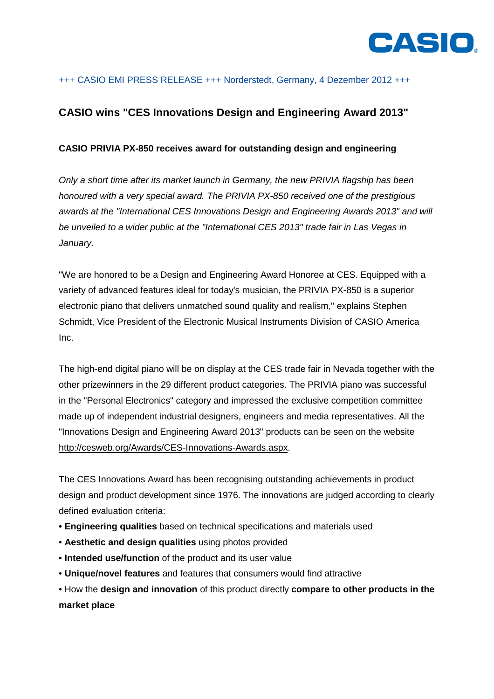

# +++ CASIO EMI PRESS RELEASE +++ Norderstedt, Germany, 4 Dezember 2012 +++

# **CASIO wins "CES Innovations Design and Engineering Award 2013"**

## **CASIO PRIVIA PX-850 receives award for outstanding design and engineering**

Only a short time after its market launch in Germany, the new PRIVIA flagship has been honoured with a very special award. The PRIVIA PX-850 received one of the prestigious awards at the "International CES Innovations Design and Engineering Awards 2013" and will be unveiled to a wider public at the "International CES 2013" trade fair in Las Vegas in January.

"We are honored to be a Design and Engineering Award Honoree at CES. Equipped with a variety of advanced features ideal for today's musician, the PRIVIA PX-850 is a superior electronic piano that delivers unmatched sound quality and realism," explains Stephen Schmidt, Vice President of the Electronic Musical Instruments Division of CASIO America Inc.

The high-end digital piano will be on display at the CES trade fair in Nevada together with the other prizewinners in the 29 different product categories. The PRIVIA piano was successful in the "Personal Electronics" category and impressed the exclusive competition committee made up of independent industrial designers, engineers and media representatives. All the "Innovations Design and Engineering Award 2013" products can be seen on the website http://cesweb.org/Awards/CES-Innovations-Awards.aspx.

The CES Innovations Award has been recognising outstanding achievements in product design and product development since 1976. The innovations are judged according to clearly defined evaluation criteria:

- **Engineering qualities** based on technical specifications and materials used
- **Aesthetic and design qualities** using photos provided
- **Intended use/function** of the product and its user value
- **Unique/novel features** and features that consumers would find attractive

• How the **design and innovation** of this product directly **compare to other products in the market place**